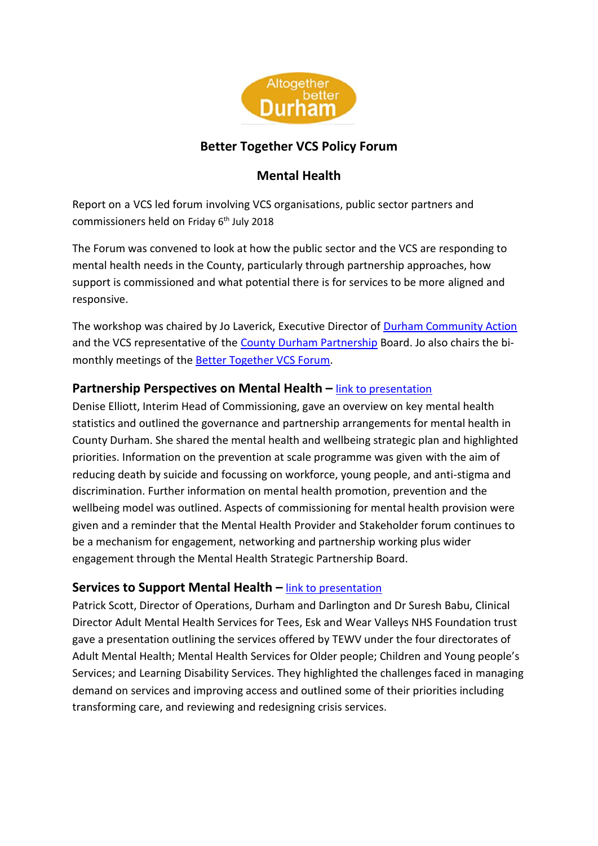

# **Better Together VCS Policy Forum**

# **Mental Health**

Report on a VCS led forum involving VCS organisations, public sector partners and commissioners held on Friday 6<sup>th</sup> July 2018

The Forum was convened to look at how the public sector and the VCS are responding to mental health needs in the County, particularly through partnership approaches, how support is commissioned and what potential there is for services to be more aligned and responsive.

The workshop was chaired by Jo Laverick, Executive Director of [Durham Community Action](http://www.durhamcommunityaction.org.uk/) and the VCS representative of the County [Durham Partnership](http://www.countydurhampartnership.co.uk/) Board. Jo also chairs the bimonthly meetings of the [Better Together VCS Forum.](http://www.durhamcommunityaction.org.uk/better-together-vcs-forum.html)

## **Partnership Perspectives on Mental Health –** [link to presentation](http://www.durhamcommunityaction.org.uk/public/dca/www/uploads/files/Partnership%20Perspectives%20on%20Mental%20Health.ppt)

Denise Elliott, Interim Head of Commissioning, gave an overview on key mental health statistics and outlined the governance and partnership arrangements for mental health in County Durham. She shared the mental health and wellbeing strategic plan and highlighted priorities. Information on the prevention at scale programme was given with the aim of reducing death by suicide and focussing on workforce, young people, and anti-stigma and discrimination. Further information on mental health promotion, prevention and the wellbeing model was outlined. Aspects of commissioning for mental health provision were given and a reminder that the Mental Health Provider and Stakeholder forum continues to be a mechanism for engagement, networking and partnership working plus wider engagement through the Mental Health Strategic Partnership Board.

## **Services to Support Mental Health –** [link to presentation](http://www.durhamcommunityaction.org.uk/public/dca/www/uploads/files/Services%20to%20Support%20Mental%20Health.ppt)

Patrick Scott, Director of Operations, Durham and Darlington and Dr Suresh Babu, Clinical Director Adult Mental Health Services for Tees, Esk and Wear Valleys NHS Foundation trust gave a presentation outlining the services offered by TEWV under the four directorates of Adult Mental Health; Mental Health Services for Older people; Children and Young people's Services; and Learning Disability Services. They highlighted the challenges faced in managing demand on services and improving access and outlined some of their priorities including transforming care, and reviewing and redesigning crisis services.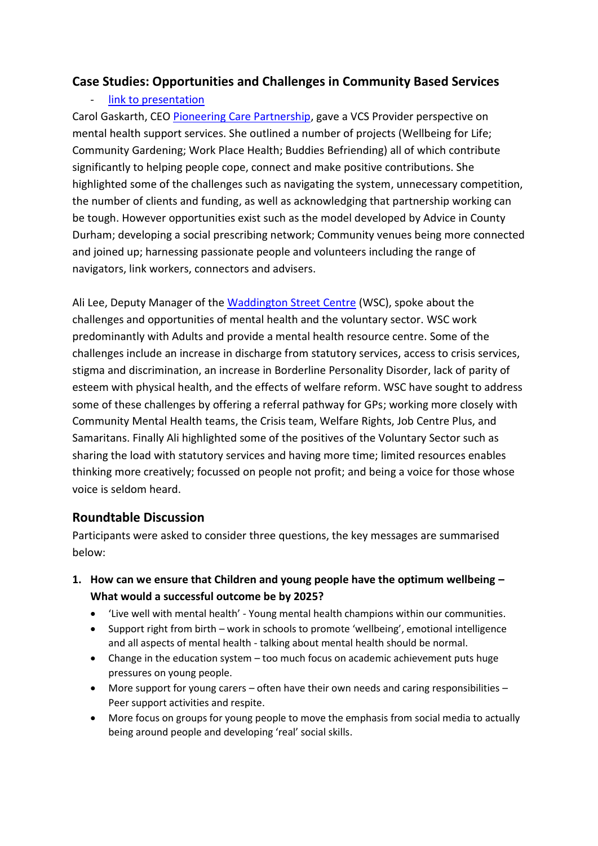## **Case Studies: Opportunities and Challenges in Community Based Services**

#### [link to presentation](http://www.durhamcommunityaction.org.uk/public/dca/www/uploads/files/Community%20Based%20Services(1).ppt)

Carol Gaskarth, CEO [Pioneering Care Partnership,](http://pcp.uk.net/) gave a VCS Provider perspective on mental health support services. She outlined a number of projects (Wellbeing for Life; Community Gardening; Work Place Health; Buddies Befriending) all of which contribute significantly to helping people cope, connect and make positive contributions. She highlighted some of the challenges such as navigating the system, unnecessary competition, the number of clients and funding, as well as acknowledging that partnership working can be tough. However opportunities exist such as the model developed by Advice in County Durham; developing a social prescribing network; Community venues being more connected and joined up; harnessing passionate people and volunteers including the range of navigators, link workers, connectors and advisers.

Ali Lee, Deputy Manager of the [Waddington Street Centre](https://www.waddingtoncentre.co.uk/) (WSC), spoke about the challenges and opportunities of mental health and the voluntary sector. WSC work predominantly with Adults and provide a mental health resource centre. Some of the challenges include an increase in discharge from statutory services, access to crisis services, stigma and discrimination, an increase in Borderline Personality Disorder, lack of parity of esteem with physical health, and the effects of welfare reform. WSC have sought to address some of these challenges by offering a referral pathway for GPs; working more closely with Community Mental Health teams, the Crisis team, Welfare Rights, Job Centre Plus, and Samaritans. Finally Ali highlighted some of the positives of the Voluntary Sector such as sharing the load with statutory services and having more time; limited resources enables thinking more creatively; focussed on people not profit; and being a voice for those whose voice is seldom heard.

## **Roundtable Discussion**

Participants were asked to consider three questions, the key messages are summarised below:

- **1. How can we ensure that Children and young people have the optimum wellbeing – What would a successful outcome be by 2025?**
	- 'Live well with mental health' Young mental health champions within our communities.
	- Support right from birth work in schools to promote 'wellbeing', emotional intelligence and all aspects of mental health - talking about mental health should be normal.
	- Change in the education system too much focus on academic achievement puts huge pressures on young people.
	- More support for young carers often have their own needs and caring responsibilities Peer support activities and respite.
	- More focus on groups for young people to move the emphasis from social media to actually being around people and developing 'real' social skills.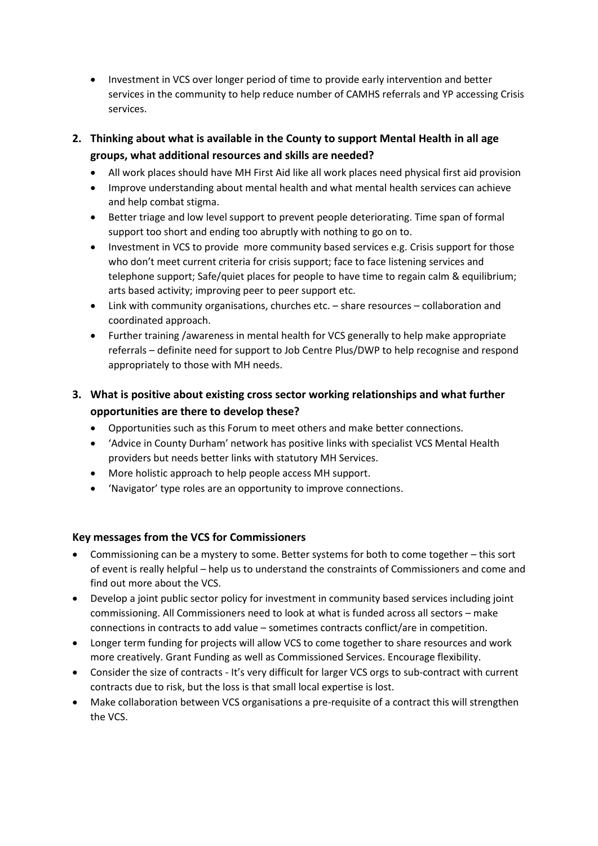- Investment in VCS over longer period of time to provide early intervention and better services in the community to help reduce number of CAMHS referrals and YP accessing Crisis services.
- **2. Thinking about what is available in the County to support Mental Health in all age groups, what additional resources and skills are needed?**
	- All work places should have MH First Aid like all work places need physical first aid provision
	- Improve understanding about mental health and what mental health services can achieve and help combat stigma.
	- Better triage and low level support to prevent people deteriorating. Time span of formal support too short and ending too abruptly with nothing to go on to.
	- Investment in VCS to provide more community based services e.g. Crisis support for those who don't meet current criteria for crisis support; face to face listening services and telephone support; Safe/quiet places for people to have time to regain calm & equilibrium; arts based activity; improving peer to peer support etc.
	- Link with community organisations, churches etc. share resources collaboration and coordinated approach.
	- Further training /awareness in mental health for VCS generally to help make appropriate referrals – definite need for support to Job Centre Plus/DWP to help recognise and respond appropriately to those with MH needs.

#### **3. What is positive about existing cross sector working relationships and what further opportunities are there to develop these?**

- Opportunities such as this Forum to meet others and make better connections.
- 'Advice in County Durham' network has positive links with specialist VCS Mental Health providers but needs better links with statutory MH Services.
- More holistic approach to help people access MH support.
- 'Navigator' type roles are an opportunity to improve connections.

#### **Key messages from the VCS for Commissioners**

- Commissioning can be a mystery to some. Better systems for both to come together this sort of event is really helpful – help us to understand the constraints of Commissioners and come and find out more about the VCS.
- Develop a joint public sector policy for investment in community based services including joint commissioning. All Commissioners need to look at what is funded across all sectors – make connections in contracts to add value – sometimes contracts conflict/are in competition.
- Longer term funding for projects will allow VCS to come together to share resources and work more creatively. Grant Funding as well as Commissioned Services. Encourage flexibility.
- Consider the size of contracts It's very difficult for larger VCS orgs to sub-contract with current contracts due to risk, but the loss is that small local expertise is lost.
- Make collaboration between VCS organisations a pre-requisite of a contract this will strengthen the VCS.